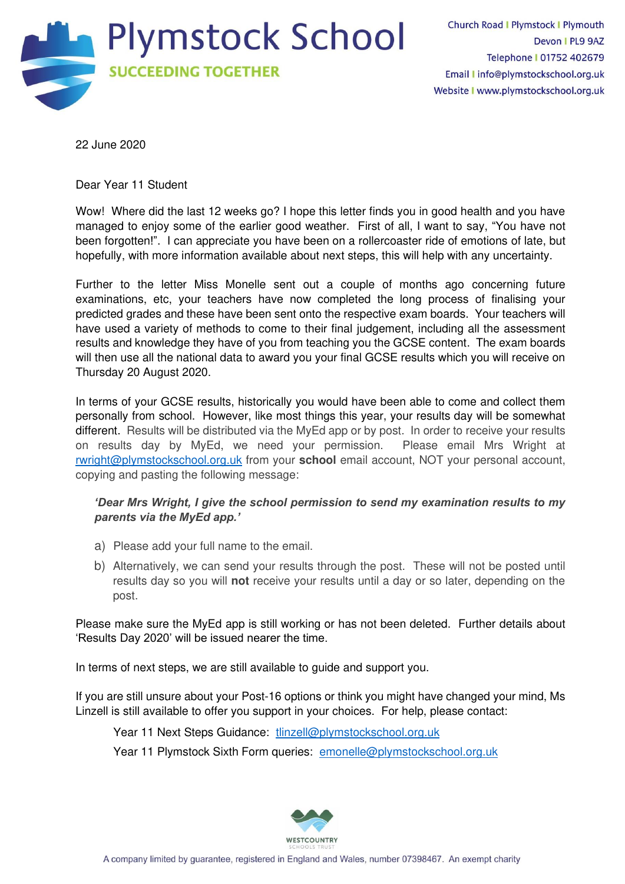

22 June 2020

Dear Year 11 Student

Wow! Where did the last 12 weeks go? I hope this letter finds you in good health and you have managed to enjoy some of the earlier good weather. First of all, I want to say, "You have not been forgotten!". I can appreciate you have been on a rollercoaster ride of emotions of late, but hopefully, with more information available about next steps, this will help with any uncertainty.

Further to the letter Miss Monelle sent out a couple of months ago concerning future examinations, etc, your teachers have now completed the long process of finalising your predicted grades and these have been sent onto the respective exam boards. Your teachers will have used a variety of methods to come to their final judgement, including all the assessment results and knowledge they have of you from teaching you the GCSE content. The exam boards will then use all the national data to award you your final GCSE results which you will receive on Thursday 20 August 2020.

In terms of your GCSE results, historically you would have been able to come and collect them personally from school. However, like most things this year, your results day will be somewhat different. Results will be distributed via the MyEd app or by post. In order to receive your results on results day by MyEd, we need your permission. Please email Mrs Wright at [rwright@plymstockschool.org.uk](mailto:rwright@plymstockschool.org.uk) from your **school** email account, NOT your personal account, copying and pasting the following message:

## *'Dear Mrs Wright, I give the school permission to send my examination results to my parents via the MyEd app.'*

- a) Please add your full name to the email.
- b) Alternatively, we can send your results through the post. These will not be posted until results day so you will **not** receive your results until a day or so later, depending on the post.

Please make sure the MyEd app is still working or has not been deleted. Further details about 'Results Day 2020' will be issued nearer the time.

In terms of next steps, we are still available to guide and support you.

If you are still unsure about your Post-16 options or think you might have changed your mind, Ms Linzell is still available to offer you support in your choices. For help, please contact:

Year 11 Next Steps Guidance: [tlinzell@plymstockschool.org.uk](mailto:tlinzell@plymstockschool.org.uk)

Year 11 Plymstock Sixth Form queries: [emonelle@plymstockschool.org.uk](mailto:emonelle@plymstockschool.org.uk)